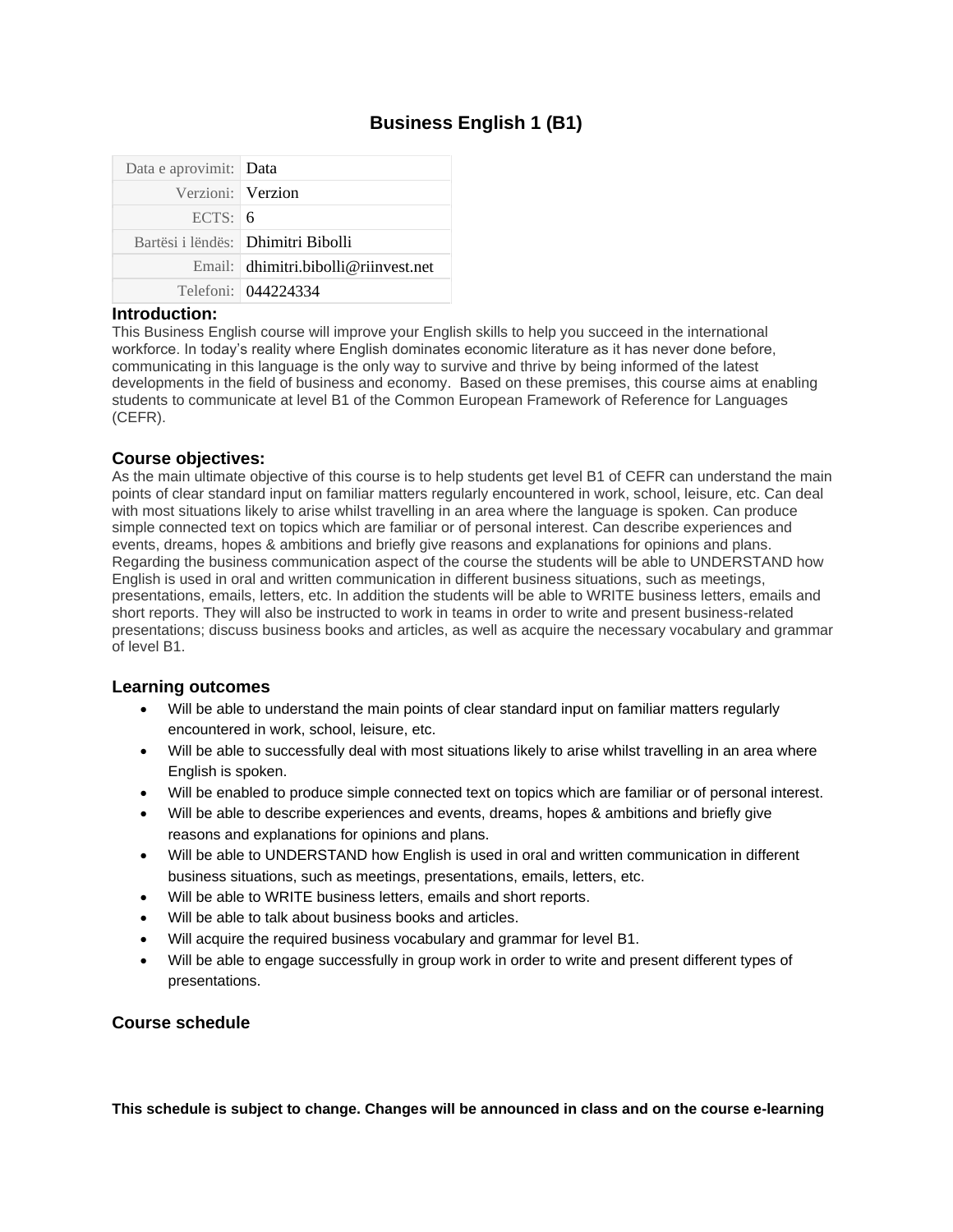# **Business English 1 (B1)**

| Data e aprovimit: Data |                                      |
|------------------------|--------------------------------------|
| Verzioni: Verzion      |                                      |
| ECTS: 6                |                                      |
|                        | Bartësi i lëndës: Dhimitri Bibolli   |
|                        | Email: dhimitri.bibolli@riinvest.net |
|                        | Telefoni: 044224334                  |

#### **Introduction:**

This Business English course will improve your English skills to help you succeed in the international workforce. In today's reality where English dominates economic literature as it has never done before, communicating in this language is the only way to survive and thrive by being informed of the latest developments in the field of business and economy. Based on these premises, this course aims at enabling students to communicate at level B1 of the Common European Framework of Reference for Languages (CEFR).

### **Course objectives:**

As the main ultimate objective of this course is to help students get level B1 of CEFR can understand the main points of clear standard input on familiar matters regularly encountered in work, school, leisure, etc. Can deal with most situations likely to arise whilst travelling in an area where the language is spoken. Can produce simple connected text on topics which are familiar or of personal interest. Can describe experiences and events, dreams, hopes & ambitions and briefly give reasons and explanations for opinions and plans. Regarding the business communication aspect of the course the students will be able to UNDERSTAND how English is used in oral and written communication in different business situations, such as meetings, presentations, emails, letters, etc. In addition the students will be able to WRITE business letters, emails and short reports. They will also be instructed to work in teams in order to write and present business-related presentations; discuss business books and articles, as well as acquire the necessary vocabulary and grammar of level B1.

### **Learning outcomes**

- Will be able to understand the main points of clear standard input on familiar matters regularly encountered in work, school, leisure, etc.
- Will be able to successfully deal with most situations likely to arise whilst travelling in an area where English is spoken.
- Will be enabled to produce simple connected text on topics which are familiar or of personal interest.
- Will be able to describe experiences and events, dreams, hopes & ambitions and briefly give reasons and explanations for opinions and plans.
- Will be able to UNDERSTAND how English is used in oral and written communication in different business situations, such as meetings, presentations, emails, letters, etc.
- Will be able to WRITE business letters, emails and short reports.
- Will be able to talk about business books and articles.
- Will acquire the required business vocabulary and grammar for level B1.
- Will be able to engage successfully in group work in order to write and present different types of presentations.

### **Course schedule**

**This schedule is subject to change. Changes will be announced in class and on the course e-learning**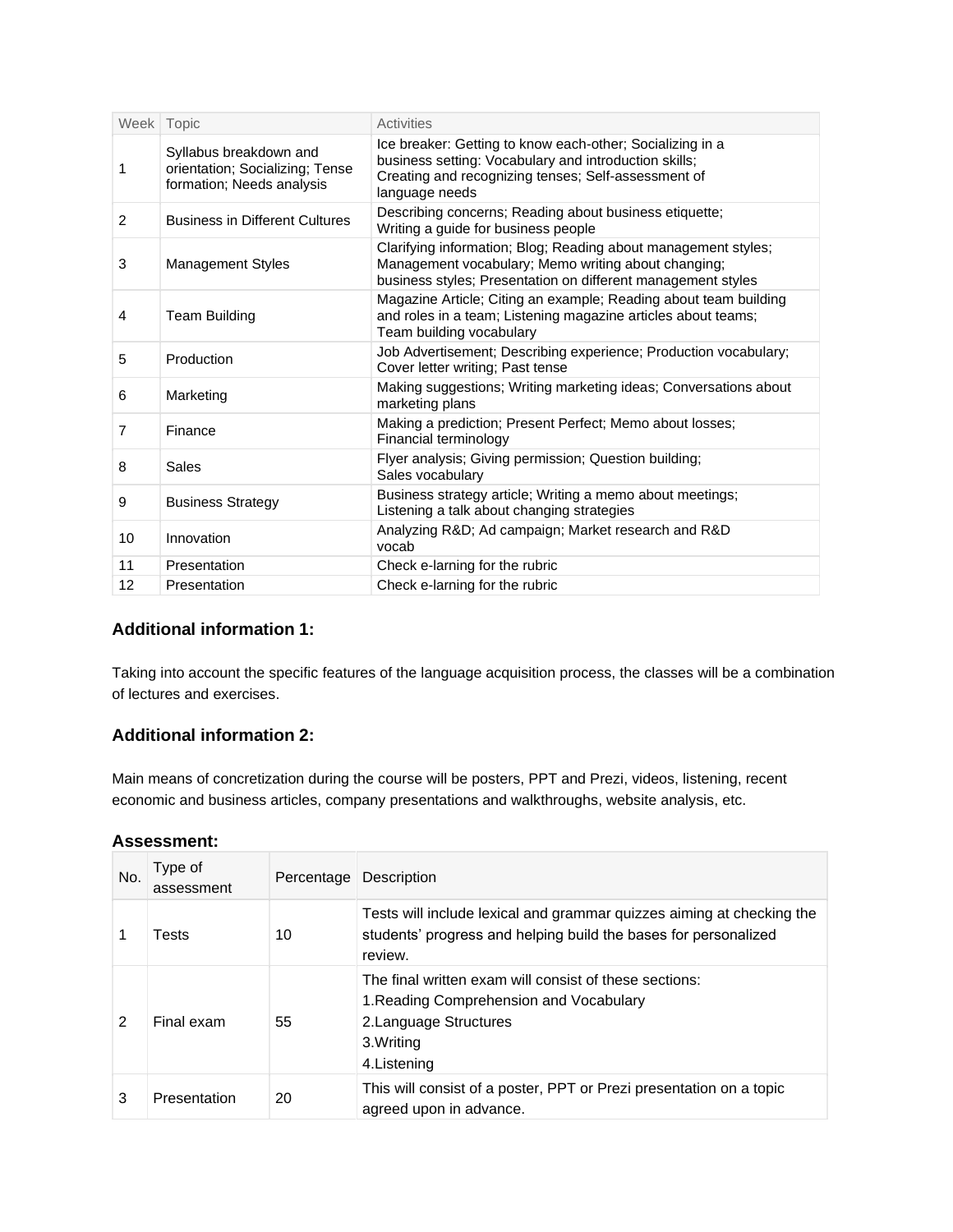|                | Week Topic                                                                             | Activities                                                                                                                                                                                  |  |
|----------------|----------------------------------------------------------------------------------------|---------------------------------------------------------------------------------------------------------------------------------------------------------------------------------------------|--|
| 1              | Syllabus breakdown and<br>orientation; Socializing; Tense<br>formation; Needs analysis | Ice breaker: Getting to know each-other; Socializing in a<br>business setting: Vocabulary and introduction skills;<br>Creating and recognizing tenses; Self-assessment of<br>language needs |  |
| 2              | <b>Business in Different Cultures</b>                                                  | Describing concerns; Reading about business etiquette;<br>Writing a guide for business people                                                                                               |  |
| 3              | <b>Management Styles</b>                                                               | Clarifying information; Blog; Reading about management styles;<br>Management vocabulary; Memo writing about changing;<br>business styles; Presentation on different management styles       |  |
| 4              | <b>Team Building</b>                                                                   | Magazine Article; Citing an example; Reading about team building<br>and roles in a team; Listening magazine articles about teams;<br>Team building vocabulary                               |  |
| 5              | Production                                                                             | Job Advertisement; Describing experience; Production vocabulary;<br>Cover letter writing; Past tense                                                                                        |  |
| 6              | Marketing                                                                              | Making suggestions; Writing marketing ideas; Conversations about<br>marketing plans                                                                                                         |  |
| $\overline{7}$ | Finance                                                                                | Making a prediction; Present Perfect; Memo about losses;<br>Financial terminology                                                                                                           |  |
| 8              | Sales                                                                                  | Flyer analysis; Giving permission; Question building;<br>Sales vocabulary                                                                                                                   |  |
| 9              | <b>Business Strategy</b>                                                               | Business strategy article; Writing a memo about meetings;<br>Listening a talk about changing strategies                                                                                     |  |
| 10             | Innovation                                                                             | Analyzing R&D Ad campaign; Market research and R&D<br>vocab                                                                                                                                 |  |
| 11             | Presentation                                                                           | Check e-larning for the rubric                                                                                                                                                              |  |
| 12             | Presentation                                                                           | Check e-larning for the rubric                                                                                                                                                              |  |

## **Additional information 1:**

Taking into account the specific features of the language acquisition process, the classes will be a combination of lectures and exercises.

## **Additional information 2:**

Main means of concretization during the course will be posters, PPT and Prezi, videos, listening, recent economic and business articles, company presentations and walkthroughs, website analysis, etc.

### **Assessment:**

| No. | Type of<br>assessment | Percentage | Description                                                                                                                                               |  |
|-----|-----------------------|------------|-----------------------------------------------------------------------------------------------------------------------------------------------------------|--|
|     | Tests                 | 10         | Tests will include lexical and grammar quizzes aiming at checking the<br>students' progress and helping build the bases for personalized<br>review.       |  |
|     | Final exam            | 55         | The final written exam will consist of these sections:<br>1. Reading Comprehension and Vocabulary<br>2. Language Structures<br>3. Writing<br>4. Listening |  |
|     | Presentation          | 20         | This will consist of a poster, PPT or Prezi presentation on a topic<br>agreed upon in advance.                                                            |  |